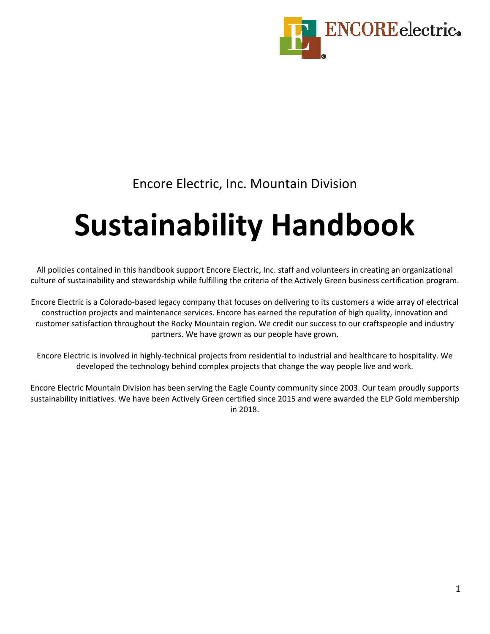

## Encore Electric, Inc. Mountain Division

# **Sustainability Handbook**

All policies contained in this handbook support Encore Electric, Inc. staff and volunteers in creating an organizational culture of sustainability and stewardship while fulfilling the criteria of the Actively Green business certification program.

Encore Electric is a Colorado-based legacy company that focuses on delivering to its customers a wide array of electrical construction projects and maintenance services. Encore has earned the reputation of high quality, innovation and customer satisfaction throughout the Rocky Mountain region. We credit our success to our craftspeople and industry partners. We have grown as our people have grown.

Encore Electric is involved in highly-technical projects from residential to industrial and healthcare to hospitality. We developed the technology behind complex projects that change the way people live and work.

Encore Electric Mountain Division has been serving the Eagle County community since 2003. Our team proudly supports sustainability initiatives. We have been Actively Green certified since 2015 and were awarded the ELP Gold membership in 2018.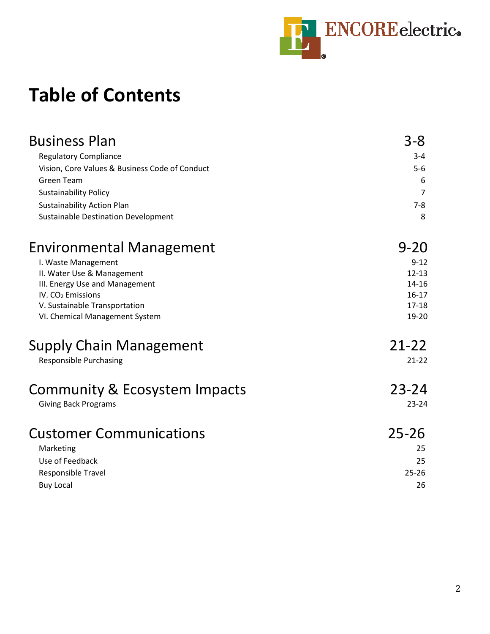

## **Table of Contents**

| <b>Business Plan</b>                           | $3 - 8$        |
|------------------------------------------------|----------------|
| <b>Regulatory Compliance</b>                   | $3 - 4$        |
| Vision, Core Values & Business Code of Conduct | $5-6$          |
| <b>Green Team</b>                              | 6              |
| <b>Sustainability Policy</b>                   | $\overline{7}$ |
| <b>Sustainability Action Plan</b>              | $7 - 8$        |
| <b>Sustainable Destination Development</b>     | 8              |
| <b>Environmental Management</b>                | $9 - 20$       |
| I. Waste Management                            | $9 - 12$       |
| II. Water Use & Management                     | $12 - 13$      |
| III. Energy Use and Management                 | 14-16          |
| IV. $CO2$ Emissions                            | $16-17$        |
| V. Sustainable Transportation                  | $17 - 18$      |
| VI. Chemical Management System                 | 19-20          |
| <b>Supply Chain Management</b>                 | $21 - 22$      |
| <b>Responsible Purchasing</b>                  | $21-22$        |
| Community & Ecosystem Impacts                  | 23-24          |
| <b>Giving Back Programs</b>                    | $23 - 24$      |
| <b>Customer Communications</b>                 | $25 - 26$      |
| Marketing                                      | 25             |
| Use of Feedback                                | 25             |
| Responsible Travel                             | $25 - 26$      |
| <b>Buy Local</b>                               | 26             |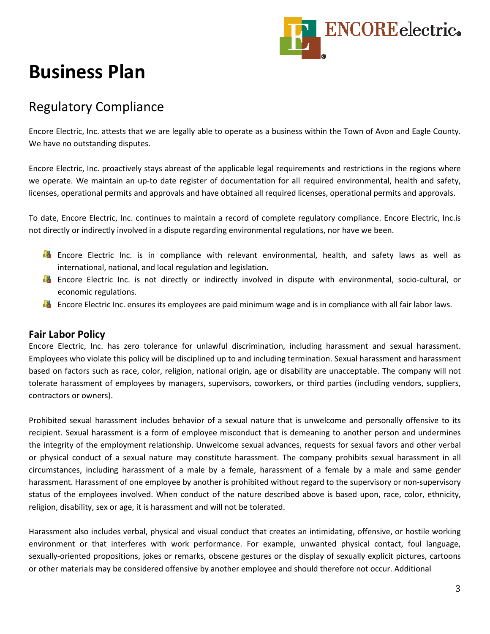

## **Business Plan**

## Regulatory Compliance

Encore Electric, Inc. attests that we are legally able to operate as a business within the Town of Avon and Eagle County. We have no outstanding disputes.

Encore Electric, Inc. proactively stays abreast of the applicable legal requirements and restrictions in the regions where we operate. We maintain an up-to date register of documentation for all required environmental, health and safety, licenses, operational permits and approvals and have obtained all required licenses, operational permits and approvals.

To date, Encore Electric, Inc. continues to maintain a record of complete regulatory compliance. Encore Electric, Inc.is not directly or indirectly involved in a dispute regarding environmental regulations, nor have we been.

- **En** Encore Electric Inc. is in compliance with relevant environmental, health, and safety laws as well as international, national, and local regulation and legislation.
- **E** Encore Electric Inc. is not directly or indirectly involved in dispute with environmental, socio-cultural, or economic regulations.
- **Encore Electric Inc. ensures its employees are paid minimum wage and is in compliance with all fair labor laws.**

#### **Fair Labor Policy**

Encore Electric, Inc. has zero tolerance for unlawful discrimination, including harassment and sexual harassment. Employees who violate this policy will be disciplined up to and including termination. Sexual harassment and harassment based on factors such as race, color, religion, national origin, age or disability are unacceptable. The company will not tolerate harassment of employees by managers, supervisors, coworkers, or third parties (including vendors, suppliers, contractors or owners).

Prohibited sexual harassment includes behavior of a sexual nature that is unwelcome and personally offensive to its recipient. Sexual harassment is a form of employee misconduct that is demeaning to another person and undermines the integrity of the employment relationship. Unwelcome sexual advances, requests for sexual favors and other verbal or physical conduct of a sexual nature may constitute harassment. The company prohibits sexual harassment in all circumstances, including harassment of a male by a female, harassment of a female by a male and same gender harassment. Harassment of one employee by another is prohibited without regard to the supervisory or non-supervisory status of the employees involved. When conduct of the nature described above is based upon, race, color, ethnicity, religion, disability, sex or age, it is harassment and will not be tolerated.

Harassment also includes verbal, physical and visual conduct that creates an intimidating, offensive, or hostile working environment or that interferes with work performance. For example, unwanted physical contact, foul language, sexually-oriented propositions, jokes or remarks, obscene gestures or the display of sexually explicit pictures, cartoons or other materials may be considered offensive by another employee and should therefore not occur. Additional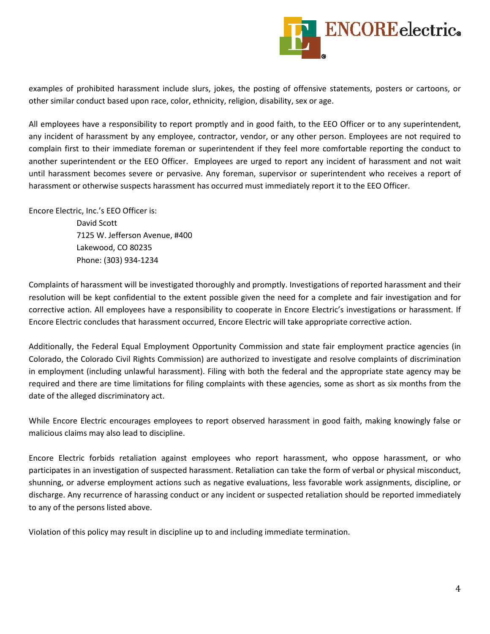

examples of prohibited harassment include slurs, jokes, the posting of offensive statements, posters or cartoons, or other similar conduct based upon race, color, ethnicity, religion, disability, sex or age.

All employees have a responsibility to report promptly and in good faith, to the EEO Officer or to any superintendent, any incident of harassment by any employee, contractor, vendor, or any other person. Employees are not required to complain first to their immediate foreman or superintendent if they feel more comfortable reporting the conduct to another superintendent or the EEO Officer. Employees are urged to report any incident of harassment and not wait until harassment becomes severe or pervasive. Any foreman, supervisor or superintendent who receives a report of harassment or otherwise suspects harassment has occurred must immediately report it to the EEO Officer.

Encore Electric, Inc.'s EEO Officer is:

 David Scott 7125 W. Jefferson Avenue, #400 Lakewood, CO 80235 Phone: (303) 934-1234

Complaints of harassment will be investigated thoroughly and promptly. Investigations of reported harassment and their resolution will be kept confidential to the extent possible given the need for a complete and fair investigation and for corrective action. All employees have a responsibility to cooperate in Encore Electric's investigations or harassment. If Encore Electric concludes that harassment occurred, Encore Electric will take appropriate corrective action.

Additionally, the Federal Equal Employment Opportunity Commission and state fair employment practice agencies (in Colorado, the Colorado Civil Rights Commission) are authorized to investigate and resolve complaints of discrimination in employment (including unlawful harassment). Filing with both the federal and the appropriate state agency may be required and there are time limitations for filing complaints with these agencies, some as short as six months from the date of the alleged discriminatory act.

While Encore Electric encourages employees to report observed harassment in good faith, making knowingly false or malicious claims may also lead to discipline.

Encore Electric forbids retaliation against employees who report harassment, who oppose harassment, or who participates in an investigation of suspected harassment. Retaliation can take the form of verbal or physical misconduct, shunning, or adverse employment actions such as negative evaluations, less favorable work assignments, discipline, or discharge. Any recurrence of harassing conduct or any incident or suspected retaliation should be reported immediately to any of the persons listed above.

Violation of this policy may result in discipline up to and including immediate termination.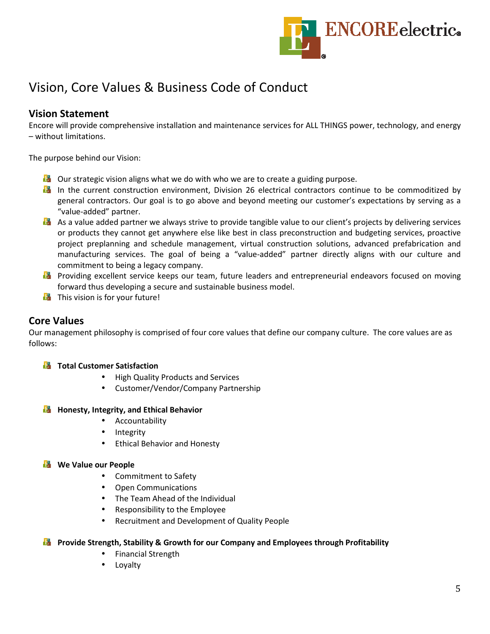

## Vision, Core Values & Business Code of Conduct

#### **Vision Statement**

Encore will provide comprehensive installation and maintenance services for ALL THINGS power, technology, and energy – without limitations.

The purpose behind our Vision:

- $\Box$  Our strategic vision aligns what we do with who we are to create a guiding purpose.
- In the current construction environment, Division 26 electrical contractors continue to be commoditized by general contractors. Our goal is to go above and beyond meeting our customer's expectations by serving as a "value-added" partner.
- As a value added partner we always strive to provide tangible value to our client's projects by delivering services or products they cannot get anywhere else like best in class preconstruction and budgeting services, proactive project preplanning and schedule management, virtual construction solutions, advanced prefabrication and manufacturing services. The goal of being a "value-added" partner directly aligns with our culture and commitment to being a legacy company.
- **Providing excellent service keeps our team, future leaders and entrepreneurial endeavors focused on moving** forward thus developing a secure and sustainable business model.
- $\mathbf{E}$  This vision is for your future!

#### **Core Values**

Our management philosophy is comprised of four core values that define our company culture. The core values are as follows:

#### **Total Customer Satisfaction**

- High Quality Products and Services
- Customer/Vendor/Company Partnership

#### **Honesty, Integrity, and Ethical Behavior**

- Accountability
- Integrity
- Ethical Behavior and Honesty

#### **We Value our People**

- Commitment to Safety
- Open Communications
- The Team Ahead of the Individual
- Responsibility to the Employee
- Recruitment and Development of Quality People

#### **Provide Strength, Stability & Growth for our Company and Employees through Profitability**

- Financial Strength
- Loyalty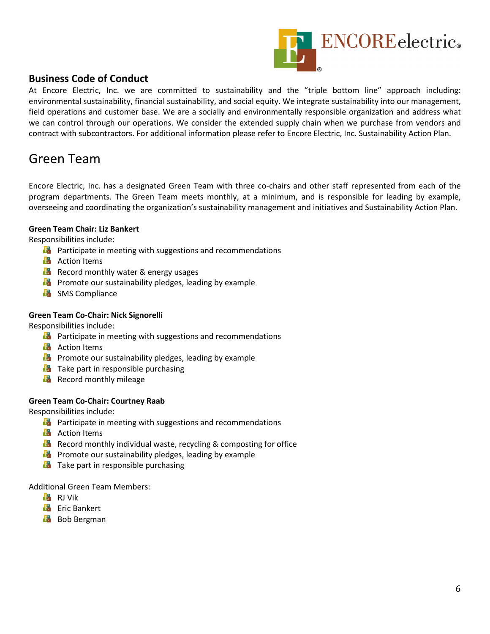

#### **Business Code of Conduct**

At Encore Electric, Inc. we are committed to sustainability and the "triple bottom line" approach including: environmental sustainability, financial sustainability, and social equity. We integrate sustainability into our management, field operations and customer base. We are a socially and environmentally responsible organization and address what we can control through our operations. We consider the extended supply chain when we purchase from vendors and contract with subcontractors. For additional information please refer to Encore Electric, Inc. Sustainability Action Plan.

## Green Team

Encore Electric, Inc. has a designated Green Team with three co-chairs and other staff represented from each of the program departments. The Green Team meets monthly, at a minimum, and is responsible for leading by example, overseeing and coordinating the organization's sustainability management and initiatives and Sustainability Action Plan.

#### **Green Team Chair: Liz Bankert**

Responsibilities include:

- **Participate in meeting with suggestions and recommendations**
- **Action Items**
- $\mathbf{B}$  Record monthly water & energy usages
- **Promote our sustainability pledges, leading by example**
- **E** SMS Compliance

#### **Green Team Co-Chair: Nick Signorelli**

Responsibilities include:

- **Participate in meeting with suggestions and recommendations**
- **Action Items**
- **Promote our sustainability pledges, leading by example**
- $\mathbf{F}$  Take part in responsible purchasing
- **Record monthly mileage**

#### **Green Team Co-Chair: Courtney Raab**

Responsibilities include:

- **Participate in meeting with suggestions and recommendations**
- **B** Action Items
- **Record monthly individual waste, recycling & composting for office**
- **Promote our sustainability pledges, leading by example**
- **Take part in responsible purchasing**

Additional Green Team Members:

- **E** RJ Vik
- **E** Eric Bankert
- **B** Bob Bergman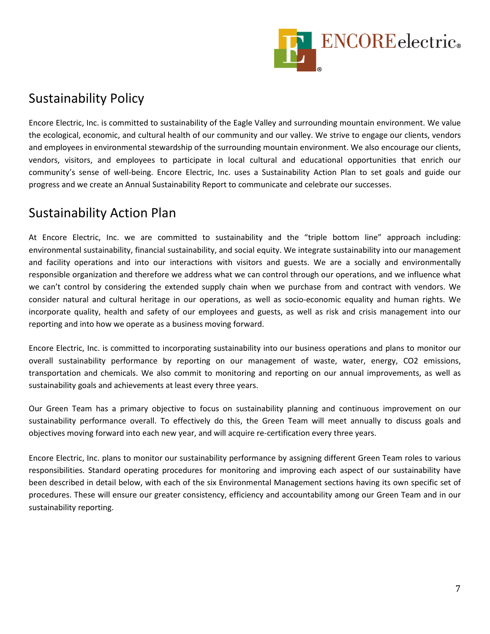

## Sustainability Policy

Encore Electric, Inc. is committed to sustainability of the Eagle Valley and surrounding mountain environment. We value the ecological, economic, and cultural health of our community and our valley. We strive to engage our clients, vendors and employees in environmental stewardship of the surrounding mountain environment. We also encourage our clients, vendors, visitors, and employees to participate in local cultural and educational opportunities that enrich our community's sense of well-being. Encore Electric, Inc. uses a Sustainability Action Plan to set goals and guide our progress and we create an Annual Sustainability Report to communicate and celebrate our successes.

### Sustainability Action Plan

At Encore Electric, Inc. we are committed to sustainability and the "triple bottom line" approach including: environmental sustainability, financial sustainability, and social equity. We integrate sustainability into our management and facility operations and into our interactions with visitors and guests. We are a socially and environmentally responsible organization and therefore we address what we can control through our operations, and we influence what we can't control by considering the extended supply chain when we purchase from and contract with vendors. We consider natural and cultural heritage in our operations, as well as socio-economic equality and human rights. We incorporate quality, health and safety of our employees and guests, as well as risk and crisis management into our reporting and into how we operate as a business moving forward.

Encore Electric, Inc. is committed to incorporating sustainability into our business operations and plans to monitor our overall sustainability performance by reporting on our management of waste, water, energy, CO2 emissions, transportation and chemicals. We also commit to monitoring and reporting on our annual improvements, as well as sustainability goals and achievements at least every three years.

Our Green Team has a primary objective to focus on sustainability planning and continuous improvement on our sustainability performance overall. To effectively do this, the Green Team will meet annually to discuss goals and objectives moving forward into each new year, and will acquire re-certification every three years.

Encore Electric, Inc. plans to monitor our sustainability performance by assigning different Green Team roles to various responsibilities. Standard operating procedures for monitoring and improving each aspect of our sustainability have been described in detail below, with each of the six Environmental Management sections having its own specific set of procedures. These will ensure our greater consistency, efficiency and accountability among our Green Team and in our sustainability reporting.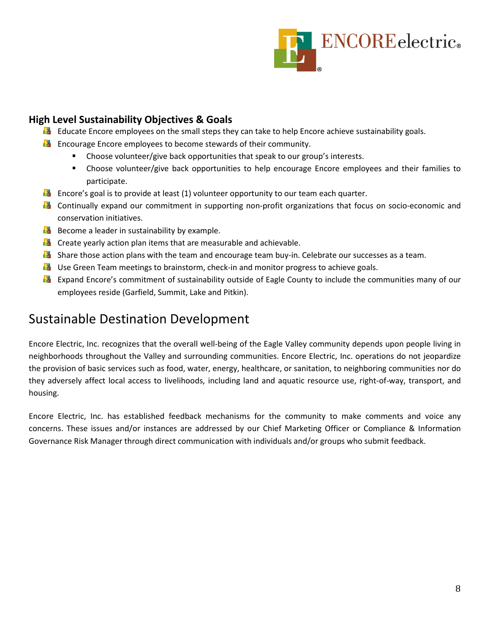

#### **High Level Sustainability Objectives & Goals**

- **EX** Educate Encore employees on the small steps they can take to help Encore achieve sustainability goals.
- **Encourage Encore employees to become stewards of their community.** 
	- **EXP** Choose volunteer/give back opportunities that speak to our group's interests.
	- Choose volunteer/give back opportunities to help encourage Encore employees and their families to participate.
- **E** Encore's goal is to provide at least (1) volunteer opportunity to our team each quarter.
- **D** Continually expand our commitment in supporting non-profit organizations that focus on socio-economic and conservation initiatives.
- **B** Become a leader in sustainability by example.
- **Create yearly action plan items that are measurable and achievable.**
- **B** Share those action plans with the team and encourage team buy-in. Celebrate our successes as a team.
- **D** Use Green Team meetings to brainstorm, check-in and monitor progress to achieve goals.
- **Expand Encore's commitment of sustainability outside of Eagle County to include the communities many of our** employees reside (Garfield, Summit, Lake and Pitkin).

### Sustainable Destination Development

Encore Electric, Inc. recognizes that the overall well-being of the Eagle Valley community depends upon people living in neighborhoods throughout the Valley and surrounding communities. Encore Electric, Inc. operations do not jeopardize the provision of basic services such as food, water, energy, healthcare, or sanitation, to neighboring communities nor do they adversely affect local access to livelihoods, including land and aquatic resource use, right-of-way, transport, and housing.

Encore Electric, Inc. has established feedback mechanisms for the community to make comments and voice any concerns. These issues and/or instances are addressed by our Chief Marketing Officer or Compliance & Information Governance Risk Manager through direct communication with individuals and/or groups who submit feedback.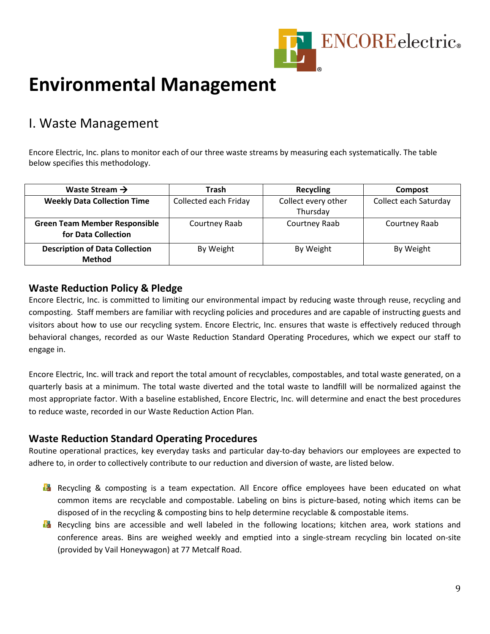

## **Environmental Management**

## I. Waste Management

Encore Electric, Inc. plans to monitor each of our three waste streams by measuring each systematically. The table below specifies this methodology.

| Waste Stream $\rightarrow$                                  | Trash                 | Recycling                       | Compost               |
|-------------------------------------------------------------|-----------------------|---------------------------------|-----------------------|
| <b>Weekly Data Collection Time</b>                          | Collected each Friday | Collect every other<br>Thursday | Collect each Saturday |
| <b>Green Team Member Responsible</b><br>for Data Collection | Courtney Raab         | Courtney Raab                   | Courtney Raab         |
| <b>Description of Data Collection</b><br><b>Method</b>      | By Weight             | By Weight                       | By Weight             |

#### **Waste Reduction Policy & Pledge**

Encore Electric, Inc. is committed to limiting our environmental impact by reducing waste through reuse, recycling and composting. Staff members are familiar with recycling policies and procedures and are capable of instructing guests and visitors about how to use our recycling system. Encore Electric, Inc. ensures that waste is effectively reduced through behavioral changes, recorded as our Waste Reduction Standard Operating Procedures, which we expect our staff to engage in.

Encore Electric, Inc. will track and report the total amount of recyclables, compostables, and total waste generated, on a quarterly basis at a minimum. The total waste diverted and the total waste to landfill will be normalized against the most appropriate factor. With a baseline established, Encore Electric, Inc. will determine and enact the best procedures to reduce waste, recorded in our Waste Reduction Action Plan.

#### **Waste Reduction Standard Operating Procedures**

Routine operational practices, key everyday tasks and particular day-to-day behaviors our employees are expected to adhere to, in order to collectively contribute to our reduction and diversion of waste, are listed below.

- **Recycling & composting is a team expectation. All Encore office employees have been educated on what** common items are recyclable and compostable. Labeling on bins is picture-based, noting which items can be disposed of in the recycling & composting bins to help determine recyclable & compostable items.
- **Recycling bins are accessible and well labeled in the following locations; kitchen area, work stations and** conference areas. Bins are weighed weekly and emptied into a single-stream recycling bin located on-site (provided by Vail Honeywagon) at 77 Metcalf Road.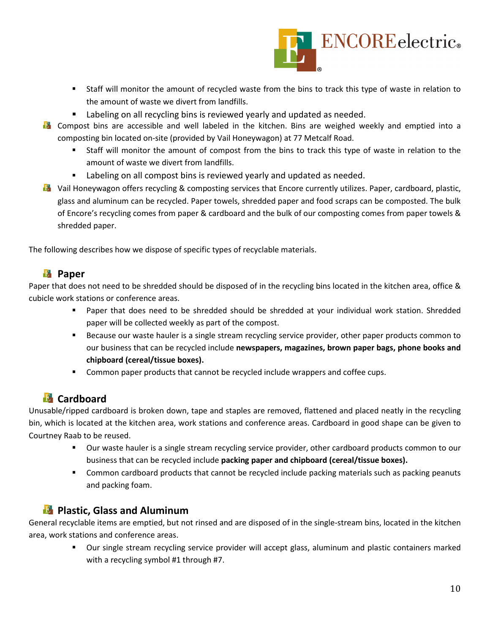

- Staff will monitor the amount of recycled waste from the bins to track this type of waste in relation to the amount of waste we divert from landfills.
- **EXTER** Labeling on all recycling bins is reviewed yearly and updated as needed.
- **D** Compost bins are accessible and well labeled in the kitchen. Bins are weighed weekly and emptied into a composting bin located on-site (provided by Vail Honeywagon) at 77 Metcalf Road.
	- Staff will monitor the amount of compost from the bins to track this type of waste in relation to the amount of waste we divert from landfills.
	- **EXECT** Labeling on all compost bins is reviewed yearly and updated as needed.
- **D** Vail Honeywagon offers recycling & composting services that Encore currently utilizes. Paper, cardboard, plastic, glass and aluminum can be recycled. Paper towels, shredded paper and food scraps can be composted. The bulk of Encore's recycling comes from paper & cardboard and the bulk of our composting comes from paper towels & shredded paper.

The following describes how we dispose of specific types of recyclable materials.

#### **Lapper**

Paper that does not need to be shredded should be disposed of in the recycling bins located in the kitchen area, office & cubicle work stations or conference areas.

- Paper that does need to be shredded should be shredded at your individual work station. Shredded paper will be collected weekly as part of the compost.
- Because our waste hauler is a single stream recycling service provider, other paper products common to our business that can be recycled include **newspapers, magazines, brown paper bags, phone books and chipboard (cereal/tissue boxes).**
- **Common paper products that cannot be recycled include wrappers and coffee cups.**

#### *Cardboard*

Unusable/ripped cardboard is broken down, tape and staples are removed, flattened and placed neatly in the recycling bin, which is located at the kitchen area, work stations and conference areas. Cardboard in good shape can be given to Courtney Raab to be reused.

- Our waste hauler is a single stream recycling service provider, other cardboard products common to our business that can be recycled include **packing paper and chipboard (cereal/tissue boxes).**
- Common cardboard products that cannot be recycled include packing materials such as packing peanuts and packing foam.

#### **Plastic, Glass and Aluminum**

General recyclable items are emptied, but not rinsed and are disposed of in the single-stream bins, located in the kitchen area, work stations and conference areas.

> **Dur single stream recycling service provider will accept glass, aluminum and plastic containers marked** with a recycling symbol #1 through #7.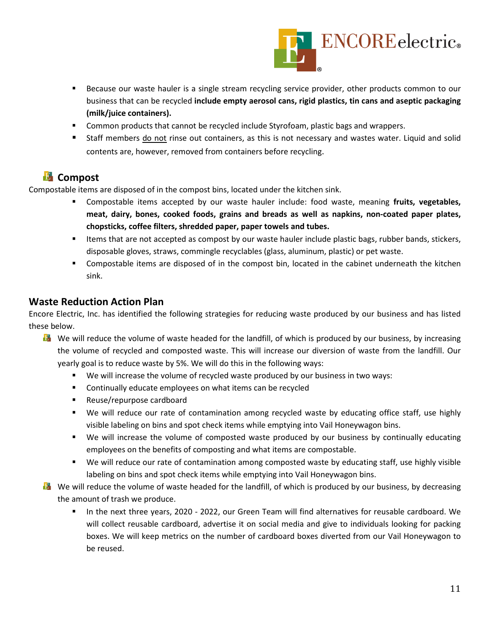

- **Because our waste hauler is a single stream recycling service provider, other products common to our** business that can be recycled **include empty aerosol cans, rigid plastics, tin cans and aseptic packaging (milk/juice containers).**
- **Common products that cannot be recycled include Styrofoam, plastic bags and wrappers.**
- Staff members do not rinse out containers, as this is not necessary and wastes water. Liquid and solid contents are, however, removed from containers before recycling.

#### **E** Compost

Compostable items are disposed of in the compost bins, located under the kitchen sink.

- Compostable items accepted by our waste hauler include: food waste, meaning **fruits, vegetables, meat, dairy, bones, cooked foods, grains and breads as well as napkins, non-coated paper plates, chopsticks, coffee filters, shredded paper, paper towels and tubes.**
- **If the status of a compost by our waste hauler include plastic bags, rubber bands, stickers,** disposable gloves, straws, commingle recyclables (glass, aluminum, plastic) or pet waste.
- Compostable items are disposed of in the compost bin, located in the cabinet underneath the kitchen sink.

#### **Waste Reduction Action Plan**

Encore Electric, Inc. has identified the following strategies for reducing waste produced by our business and has listed these below.

- **We will reduce the volume of waste headed for the landfill, of which is produced by our business, by increasing** the volume of recycled and composted waste. This will increase our diversion of waste from the landfill. Our yearly goal is to reduce waste by 5%. We will do this in the following ways:
	- We will increase the volume of recycled waste produced by our business in two ways:
	- **EXECONTERGIVE CONTINUM** Continually educate employees on what items can be recycled
	- Reuse/repurpose cardboard
	- We will reduce our rate of contamination among recycled waste by educating office staff, use highly visible labeling on bins and spot check items while emptying into Vail Honeywagon bins.
	- We will increase the volume of composted waste produced by our business by continually educating employees on the benefits of composting and what items are compostable.
	- We will reduce our rate of contamination among composted waste by educating staff, use highly visible labeling on bins and spot check items while emptying into Vail Honeywagon bins.
- **B** We will reduce the volume of waste headed for the landfill, of which is produced by our business, by decreasing the amount of trash we produce.
	- In the next three years, 2020 2022, our Green Team will find alternatives for reusable cardboard. We will collect reusable cardboard, advertise it on social media and give to individuals looking for packing boxes. We will keep metrics on the number of cardboard boxes diverted from our Vail Honeywagon to be reused.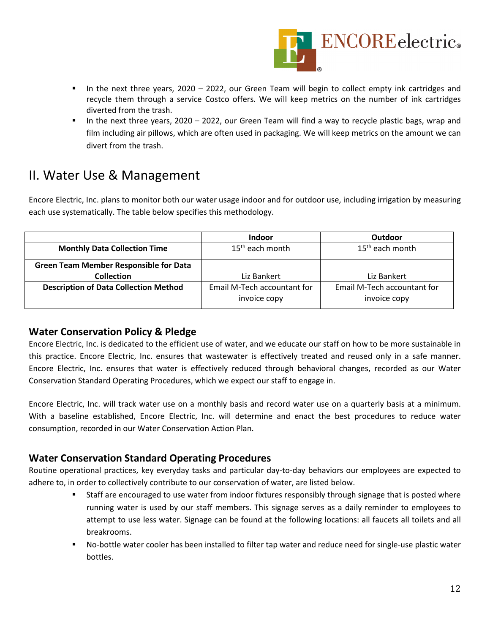

- In the next three years, 2020 2022, our Green Team will begin to collect empty ink cartridges and recycle them through a service Costco offers. We will keep metrics on the number of ink cartridges diverted from the trash.
- In the next three years, 2020 2022, our Green Team will find a way to recycle plastic bags, wrap and film including air pillows, which are often used in packaging. We will keep metrics on the amount we can divert from the trash.

## II. Water Use & Management

Encore Electric, Inc. plans to monitor both our water usage indoor and for outdoor use, including irrigation by measuring each use systematically. The table below specifies this methodology.

|                                               | <b>Indoor</b>               | Outdoor                     |
|-----------------------------------------------|-----------------------------|-----------------------------|
| <b>Monthly Data Collection Time</b>           | 15 <sup>th</sup> each month | $15th$ each month           |
| <b>Green Team Member Responsible for Data</b> |                             |                             |
| <b>Collection</b>                             | Liz Bankert                 | Liz Bankert                 |
| <b>Description of Data Collection Method</b>  | Email M-Tech accountant for | Email M-Tech accountant for |
|                                               | invoice copy                | invoice copy                |

#### **Water Conservation Policy & Pledge**

Encore Electric, Inc. is dedicated to the efficient use of water, and we educate our staff on how to be more sustainable in this practice. Encore Electric, Inc. ensures that wastewater is effectively treated and reused only in a safe manner. Encore Electric, Inc. ensures that water is effectively reduced through behavioral changes, recorded as our Water Conservation Standard Operating Procedures, which we expect our staff to engage in.

Encore Electric, Inc. will track water use on a monthly basis and record water use on a quarterly basis at a minimum. With a baseline established, Encore Electric, Inc. will determine and enact the best procedures to reduce water consumption, recorded in our Water Conservation Action Plan.

#### **Water Conservation Standard Operating Procedures**

Routine operational practices, key everyday tasks and particular day-to-day behaviors our employees are expected to adhere to, in order to collectively contribute to our conservation of water, are listed below.

- Staff are encouraged to use water from indoor fixtures responsibly through signage that is posted where running water is used by our staff members. This signage serves as a daily reminder to employees to attempt to use less water. Signage can be found at the following locations: all faucets all toilets and all breakrooms.
- No-bottle water cooler has been installed to filter tap water and reduce need for single-use plastic water bottles.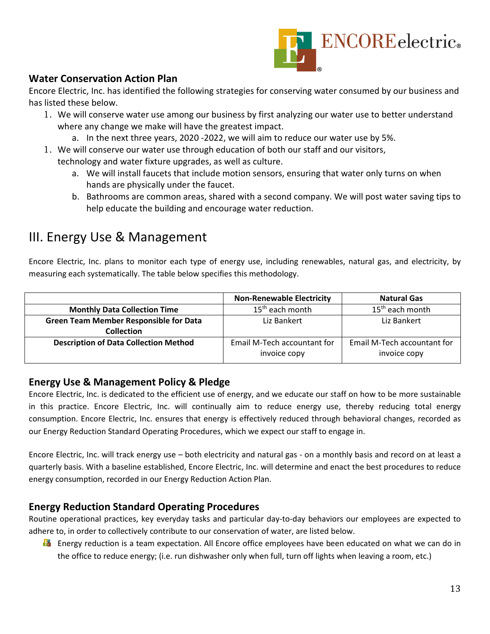

#### **Water Conservation Action Plan**

Encore Electric, Inc. has identified the following strategies for conserving water consumed by our business and has listed these below.

- 1. We will conserve water use among our business by first analyzing our water use to better understand where any change we make will have the greatest impact.
	- a. In the next three years, 2020 -2022, we will aim to reduce our water use by 5%.
- 1. We will conserve our water use through education of both our staff and our visitors, technology and water fixture upgrades, as well as culture.
	- a. We will install faucets that include motion sensors, ensuring that water only turns on when hands are physically under the faucet.
	- b. Bathrooms are common areas, shared with a second company. We will post water saving tips to help educate the building and encourage water reduction.

## III. Energy Use & Management

Encore Electric, Inc. plans to monitor each type of energy use, including renewables, natural gas, and electricity, by measuring each systematically. The table below specifies this methodology.

|                                               | <b>Non-Renewable Electricity</b> | <b>Natural Gas</b>          |
|-----------------------------------------------|----------------------------------|-----------------------------|
| <b>Monthly Data Collection Time</b>           | 15 <sup>th</sup> each month      | 15 <sup>th</sup> each month |
| <b>Green Team Member Responsible for Data</b> | Liz Bankert                      | Liz Bankert                 |
| <b>Collection</b>                             |                                  |                             |
| <b>Description of Data Collection Method</b>  | Email M-Tech accountant for      | Email M-Tech accountant for |
|                                               | invoice copy                     | invoice copy                |

#### **Energy Use & Management Policy & Pledge**

Encore Electric, Inc. is dedicated to the efficient use of energy, and we educate our staff on how to be more sustainable in this practice. Encore Electric, Inc. will continually aim to reduce energy use, thereby reducing total energy consumption. Encore Electric, Inc. ensures that energy is effectively reduced through behavioral changes, recorded as our Energy Reduction Standard Operating Procedures, which we expect our staff to engage in.

Encore Electric, Inc. will track energy use – both electricity and natural gas - on a monthly basis and record on at least a quarterly basis. With a baseline established, Encore Electric, Inc. will determine and enact the best procedures to reduce energy consumption, recorded in our Energy Reduction Action Plan.

#### **Energy Reduction Standard Operating Procedures**

Routine operational practices, key everyday tasks and particular day-to-day behaviors our employees are expected to adhere to, in order to collectively contribute to our conservation of water, are listed below.

**En** Energy reduction is a team expectation. All Encore office employees have been educated on what we can do in the office to reduce energy; (i.e. run dishwasher only when full, turn off lights when leaving a room, etc.)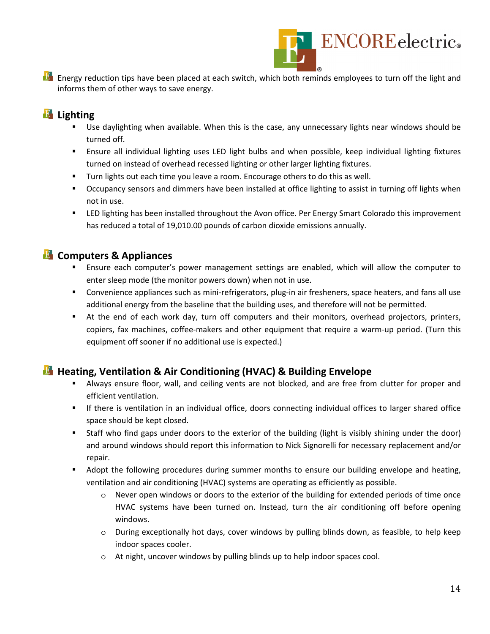

**Energy reduction tips have been placed at each switch, which both reminds employees to turn off the light and** informs them of other ways to save energy.

#### **Lighting**

- Use daylighting when available. When this is the case, any unnecessary lights near windows should be turned off.
- Ensure all individual lighting uses LED light bulbs and when possible, keep individual lighting fixtures turned on instead of overhead recessed lighting or other larger lighting fixtures.
- **Turn lights out each time you leave a room. Encourage others to do this as well.**
- **C** Occupancy sensors and dimmers have been installed at office lighting to assist in turning off lights when not in use.
- **ED lighting has been installed throughout the Avon office. Per Energy Smart Colorado this improvement** has reduced a total of 19,010.00 pounds of carbon dioxide emissions annually.

#### **E** Computers & Appliances

- Ensure each computer's power management settings are enabled, which will allow the computer to enter sleep mode (the monitor powers down) when not in use.
- Convenience appliances such as mini-refrigerators, plug-in air fresheners, space heaters, and fans all use additional energy from the baseline that the building uses, and therefore will not be permitted.
- At the end of each work day, turn off computers and their monitors, overhead projectors, printers, copiers, fax machines, coffee-makers and other equipment that require a warm-up period. (Turn this equipment off sooner if no additional use is expected.)

#### **Heating, Ventilation & Air Conditioning (HVAC) & Building Envelope**

- Always ensure floor, wall, and ceiling vents are not blocked, and are free from clutter for proper and efficient ventilation.
- If there is ventilation in an individual office, doors connecting individual offices to larger shared office space should be kept closed.
- Staff who find gaps under doors to the exterior of the building (light is visibly shining under the door) and around windows should report this information to Nick Signorelli for necessary replacement and/or repair.
- **Adopt the following procedures during summer months to ensure our building envelope and heating,** ventilation and air conditioning (HVAC) systems are operating as efficiently as possible.
	- $\circ$  Never open windows or doors to the exterior of the building for extended periods of time once HVAC systems have been turned on. Instead, turn the air conditioning off before opening windows.
	- o During exceptionally hot days, cover windows by pulling blinds down, as feasible, to help keep indoor spaces cooler.
	- o At night, uncover windows by pulling blinds up to help indoor spaces cool.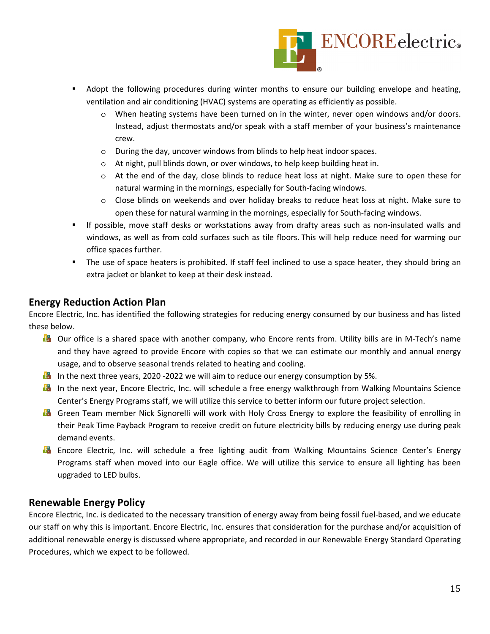

- Adopt the following procedures during winter months to ensure our building envelope and heating, ventilation and air conditioning (HVAC) systems are operating as efficiently as possible.
	- o When heating systems have been turned on in the winter, never open windows and/or doors. Instead, adjust thermostats and/or speak with a staff member of your business's maintenance crew.
	- o During the day, uncover windows from blinds to help heat indoor spaces.
	- o At night, pull blinds down, or over windows, to help keep building heat in.
	- o At the end of the day, close blinds to reduce heat loss at night. Make sure to open these for natural warming in the mornings, especially for South-facing windows.
	- o Close blinds on weekends and over holiday breaks to reduce heat loss at night. Make sure to open these for natural warming in the mornings, especially for South-facing windows.
- If possible, move staff desks or workstations away from drafty areas such as non-insulated walls and windows, as well as from cold surfaces such as tile floors. This will help reduce need for warming our office spaces further.
- The use of space heaters is prohibited. If staff feel inclined to use a space heater, they should bring an extra jacket or blanket to keep at their desk instead.

#### **Energy Reduction Action Plan**

Encore Electric, Inc. has identified the following strategies for reducing energy consumed by our business and has listed these below.

- **D** Our office is a shared space with another company, who Encore rents from. Utility bills are in M-Tech's name and they have agreed to provide Encore with copies so that we can estimate our monthly and annual energy usage, and to observe seasonal trends related to heating and cooling.
- **In** In the next three years, 2020 -2022 we will aim to reduce our energy consumption by 5%.
- **In** In the next year, Encore Electric, Inc. will schedule a free energy walkthrough from Walking Mountains Science Center's Energy Programs staff, we will utilize this service to better inform our future project selection.
- **B** Green Team member Nick Signorelli will work with Holy Cross Energy to explore the feasibility of enrolling in their Peak Time Payback Program to receive credit on future electricity bills by reducing energy use during peak demand events.
- **Encore Electric, Inc. will schedule a free lighting audit from Walking Mountains Science Center's Energy** Programs staff when moved into our Eagle office. We will utilize this service to ensure all lighting has been upgraded to LED bulbs.

#### **Renewable Energy Policy**

Encore Electric, Inc. is dedicated to the necessary transition of energy away from being fossil fuel-based, and we educate our staff on why this is important. Encore Electric, Inc. ensures that consideration for the purchase and/or acquisition of additional renewable energy is discussed where appropriate, and recorded in our Renewable Energy Standard Operating Procedures, which we expect to be followed.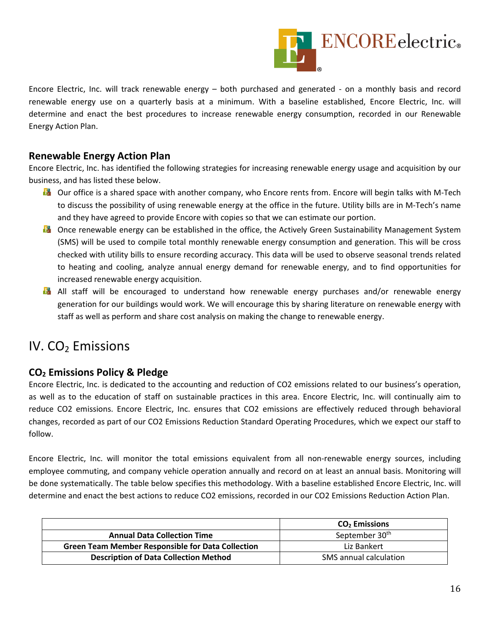

Encore Electric, Inc. will track renewable energy – both purchased and generated - on a monthly basis and record renewable energy use on a quarterly basis at a minimum. With a baseline established, Encore Electric, Inc. will determine and enact the best procedures to increase renewable energy consumption, recorded in our Renewable Energy Action Plan.

#### **Renewable Energy Action Plan**

Encore Electric, Inc. has identified the following strategies for increasing renewable energy usage and acquisition by our business, and has listed these below.

- **D** Our office is a shared space with another company, who Encore rents from. Encore will begin talks with M-Tech to discuss the possibility of using renewable energy at the office in the future. Utility bills are in M-Tech's name and they have agreed to provide Encore with copies so that we can estimate our portion.
- **D** Once renewable energy can be established in the office, the Actively Green Sustainability Management System (SMS) will be used to compile total monthly renewable energy consumption and generation. This will be cross checked with utility bills to ensure recording accuracy. This data will be used to observe seasonal trends related to heating and cooling, analyze annual energy demand for renewable energy, and to find opportunities for increased renewable energy acquisition.
- **All staff will be encouraged to understand how renewable energy purchases and/or renewable energy** generation for our buildings would work. We will encourage this by sharing literature on renewable energy with staff as well as perform and share cost analysis on making the change to renewable energy.

### IV.  $CO<sub>2</sub>$  Emissions

#### **CO2 Emissions Policy & Pledge**

Encore Electric, Inc. is dedicated to the accounting and reduction of CO2 emissions related to our business's operation, as well as to the education of staff on sustainable practices in this area. Encore Electric, Inc. will continually aim to reduce CO2 emissions. Encore Electric, Inc. ensures that CO2 emissions are effectively reduced through behavioral changes, recorded as part of our CO2 Emissions Reduction Standard Operating Procedures, which we expect our staff to follow.

Encore Electric, Inc. will monitor the total emissions equivalent from all non-renewable energy sources, including employee commuting, and company vehicle operation annually and record on at least an annual basis. Monitoring will be done systematically. The table below specifies this methodology. With a baseline established Encore Electric, Inc. will determine and enact the best actions to reduce CO2 emissions, recorded in our CO2 Emissions Reduction Action Plan.

|                                                          | $CO2$ Emissions            |
|----------------------------------------------------------|----------------------------|
| <b>Annual Data Collection Time</b>                       | September 30 <sup>th</sup> |
| <b>Green Team Member Responsible for Data Collection</b> | Liz Bankert                |
| <b>Description of Data Collection Method</b>             | SMS annual calculation     |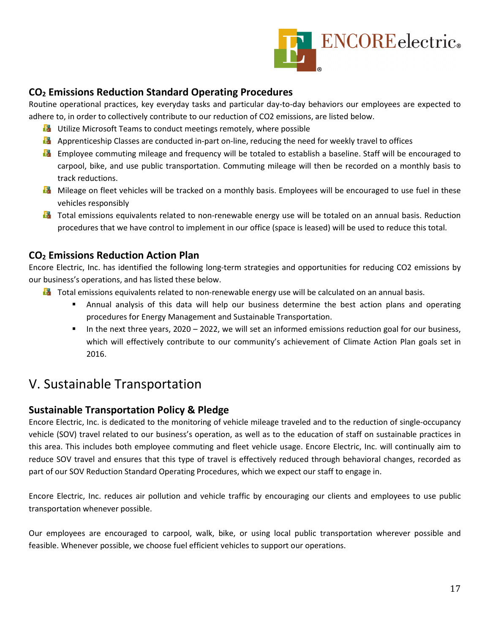

#### **CO2 Emissions Reduction Standard Operating Procedures**

Routine operational practices, key everyday tasks and particular day-to-day behaviors our employees are expected to adhere to, in order to collectively contribute to our reduction of CO2 emissions, are listed below.

- **Utilize Microsoft Teams to conduct meetings remotely, where possible**
- **Apprenticeship Classes are conducted in-part on-line, reducing the need for weekly travel to offices**
- **Employee commuting mileage and frequency will be totaled to establish a baseline. Staff will be encouraged to** carpool, bike, and use public transportation. Commuting mileage will then be recorded on a monthly basis to track reductions.
- **M** Mileage on fleet vehicles will be tracked on a monthly basis. Employees will be encouraged to use fuel in these vehicles responsibly
- **T** Total emissions equivalents related to non-renewable energy use will be totaled on an annual basis. Reduction procedures that we have control to implement in our office (space is leased) will be used to reduce this total.

#### **CO2 Emissions Reduction Action Plan**

Encore Electric, Inc. has identified the following long-term strategies and opportunities for reducing CO2 emissions by our business's operations, and has listed these below.

- **T** Total emissions equivalents related to non-renewable energy use will be calculated on an annual basis.
	- Annual analysis of this data will help our business determine the best action plans and operating procedures for Energy Management and Sustainable Transportation.
	- In the next three years, 2020 2022, we will set an informed emissions reduction goal for our business, which will effectively contribute to our community's achievement of Climate Action Plan goals set in 2016.

### V. Sustainable Transportation

#### **Sustainable Transportation Policy & Pledge**

Encore Electric, Inc. is dedicated to the monitoring of vehicle mileage traveled and to the reduction of single-occupancy vehicle (SOV) travel related to our business's operation, as well as to the education of staff on sustainable practices in this area. This includes both employee commuting and fleet vehicle usage. Encore Electric, Inc. will continually aim to reduce SOV travel and ensures that this type of travel is effectively reduced through behavioral changes, recorded as part of our SOV Reduction Standard Operating Procedures, which we expect our staff to engage in.

Encore Electric, Inc. reduces air pollution and vehicle traffic by encouraging our clients and employees to use public transportation whenever possible.

Our employees are encouraged to carpool, walk, bike, or using local public transportation wherever possible and feasible. Whenever possible, we choose fuel efficient vehicles to support our operations.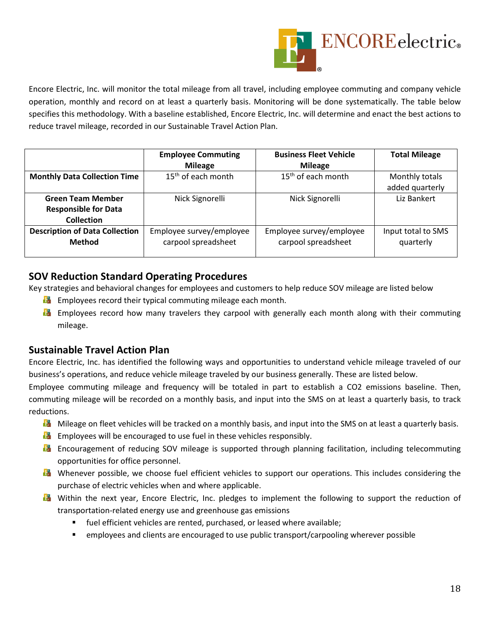

Encore Electric, Inc. will monitor the total mileage from all travel, including employee commuting and company vehicle operation, monthly and record on at least a quarterly basis. Monitoring will be done systematically. The table below specifies this methodology. With a baseline established, Encore Electric, Inc. will determine and enact the best actions to reduce travel mileage, recorded in our Sustainable Travel Action Plan.

|                                       | <b>Employee Commuting</b> | <b>Business Fleet Vehicle</b> | <b>Total Mileage</b> |
|---------------------------------------|---------------------------|-------------------------------|----------------------|
|                                       | <b>Mileage</b>            | <b>Mileage</b>                |                      |
| <b>Monthly Data Collection Time</b>   | $15th$ of each month      | $15th$ of each month          | Monthly totals       |
|                                       |                           |                               | added quarterly      |
| <b>Green Team Member</b>              | Nick Signorelli           | Nick Signorelli               | Liz Bankert          |
| <b>Responsible for Data</b>           |                           |                               |                      |
| <b>Collection</b>                     |                           |                               |                      |
| <b>Description of Data Collection</b> | Employee survey/employee  | Employee survey/employee      | Input total to SMS   |
| <b>Method</b>                         | carpool spreadsheet       | carpool spreadsheet           | quarterly            |
|                                       |                           |                               |                      |

#### **SOV Reduction Standard Operating Procedures**

Key strategies and behavioral changes for employees and customers to help reduce SOV mileage are listed below

- **Examployees record their typical commuting mileage each month.**
- **E** Employees record how many travelers they carpool with generally each month along with their commuting mileage.

#### **Sustainable Travel Action Plan**

Encore Electric, Inc. has identified the following ways and opportunities to understand vehicle mileage traveled of our business's operations, and reduce vehicle mileage traveled by our business generally. These are listed below.

Employee commuting mileage and frequency will be totaled in part to establish a CO2 emissions baseline. Then, commuting mileage will be recorded on a monthly basis, and input into the SMS on at least a quarterly basis, to track reductions.

- **M** Mileage on fleet vehicles will be tracked on a monthly basis, and input into the SMS on at least a quarterly basis.
- **Examployees will be encouraged to use fuel in these vehicles responsibly.**
- **Encouragement of reducing SOV mileage is supported through planning facilitation, including telecommuting** opportunities for office personnel.
- **D** Whenever possible, we choose fuel efficient vehicles to support our operations. This includes considering the purchase of electric vehicles when and where applicable.
- **W** Within the next year, Encore Electric, Inc. pledges to implement the following to support the reduction of transportation-related energy use and greenhouse gas emissions
	- fuel efficient vehicles are rented, purchased, or leased where available;
	- employees and clients are encouraged to use public transport/carpooling wherever possible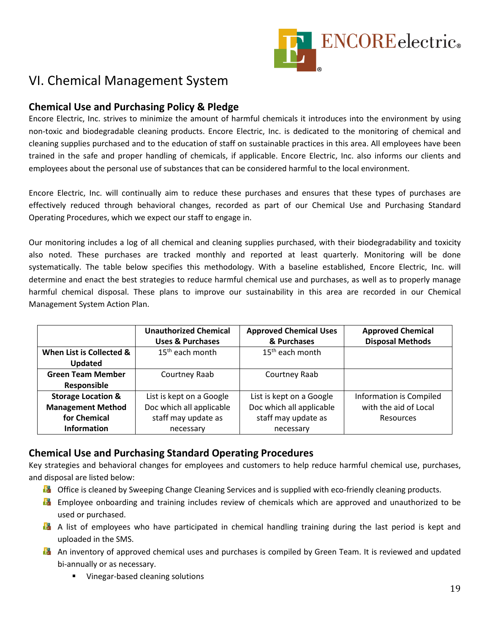

## VI. Chemical Management System

#### **Chemical Use and Purchasing Policy & Pledge**

Encore Electric, Inc. strives to minimize the amount of harmful chemicals it introduces into the environment by using non-toxic and biodegradable cleaning products. Encore Electric, Inc. is dedicated to the monitoring of chemical and cleaning supplies purchased and to the education of staff on sustainable practices in this area. All employees have been trained in the safe and proper handling of chemicals, if applicable. Encore Electric, Inc. also informs our clients and employees about the personal use of substances that can be considered harmful to the local environment.

Encore Electric, Inc. will continually aim to reduce these purchases and ensures that these types of purchases are effectively reduced through behavioral changes, recorded as part of our Chemical Use and Purchasing Standard Operating Procedures, which we expect our staff to engage in.

Our monitoring includes a log of all chemical and cleaning supplies purchased, with their biodegradability and toxicity also noted. These purchases are tracked monthly and reported at least quarterly. Monitoring will be done systematically. The table below specifies this methodology. With a baseline established, Encore Electric, Inc. will determine and enact the best strategies to reduce harmful chemical use and purchases, as well as to properly manage harmful chemical disposal. These plans to improve our sustainability in this area are recorded in our Chemical Management System Action Plan.

|                               | <b>Unauthorized Chemical</b><br><b>Uses &amp; Purchases</b> | <b>Approved Chemical Uses</b><br>& Purchases | <b>Approved Chemical</b><br><b>Disposal Methods</b> |
|-------------------------------|-------------------------------------------------------------|----------------------------------------------|-----------------------------------------------------|
| When List is Collected &      | $15th$ each month                                           | 15 <sup>th</sup> each month                  |                                                     |
| <b>Updated</b>                |                                                             |                                              |                                                     |
| <b>Green Team Member</b>      | Courtney Raab                                               | Courtney Raab                                |                                                     |
| Responsible                   |                                                             |                                              |                                                     |
| <b>Storage Location &amp;</b> | List is kept on a Google                                    | List is kept on a Google                     | Information is Compiled                             |
| <b>Management Method</b>      | Doc which all applicable                                    | Doc which all applicable                     | with the aid of Local                               |
| for Chemical                  | staff may update as                                         | staff may update as                          | <b>Resources</b>                                    |
| <b>Information</b>            | necessary                                                   | necessary                                    |                                                     |

#### **Chemical Use and Purchasing Standard Operating Procedures**

Key strategies and behavioral changes for employees and customers to help reduce harmful chemical use, purchases, and disposal are listed below:

- **D** Office is cleaned by Sweeping Change Cleaning Services and is supplied with eco-friendly cleaning products.
- **Employee onboarding and training includes review of chemicals which are approved and unauthorized to be** used or purchased.
- **A** A list of employees who have participated in chemical handling training during the last period is kept and uploaded in the SMS.
- **A** An inventory of approved chemical uses and purchases is compiled by Green Team. It is reviewed and updated bi-annually or as necessary.
	- **Vinegar-based cleaning solutions**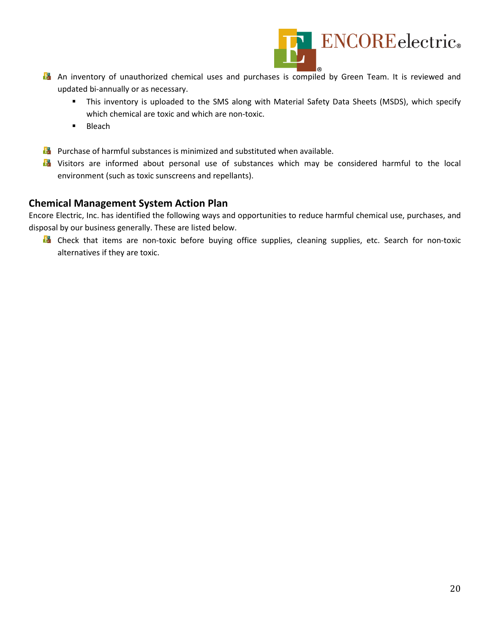

- **An inventory of unauthorized chemical uses and purchases is compiled by Green Team. It is reviewed and** updated bi-annually or as necessary.
	- This inventory is uploaded to the SMS along with Material Safety Data Sheets (MSDS), which specify which chemical are toxic and which are non-toxic.
	- $B$ leach
- **Pulle** Purchase of harmful substances is minimized and substituted when available.
- **D** Visitors are informed about personal use of substances which may be considered harmful to the local environment (such as toxic sunscreens and repellants).

#### **Chemical Management System Action Plan**

Encore Electric, Inc. has identified the following ways and opportunities to reduce harmful chemical use, purchases, and disposal by our business generally. These are listed below.

**B** Check that items are non-toxic before buying office supplies, cleaning supplies, etc. Search for non-toxic alternatives if they are toxic.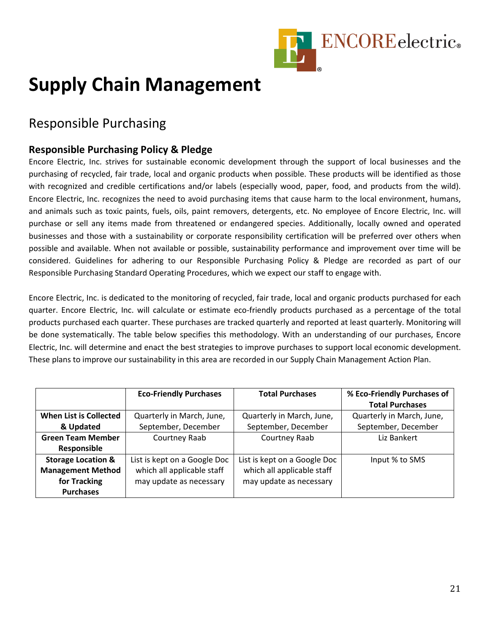

## **Supply Chain Management**

## Responsible Purchasing

#### **Responsible Purchasing Policy & Pledge**

Encore Electric, Inc. strives for sustainable economic development through the support of local businesses and the purchasing of recycled, fair trade, local and organic products when possible. These products will be identified as those with recognized and credible certifications and/or labels (especially wood, paper, food, and products from the wild). Encore Electric, Inc. recognizes the need to avoid purchasing items that cause harm to the local environment, humans, and animals such as toxic paints, fuels, oils, paint removers, detergents, etc. No employee of Encore Electric, Inc. will purchase or sell any items made from threatened or endangered species. Additionally, locally owned and operated businesses and those with a sustainability or corporate responsibility certification will be preferred over others when possible and available. When not available or possible, sustainability performance and improvement over time will be considered. Guidelines for adhering to our Responsible Purchasing Policy & Pledge are recorded as part of our Responsible Purchasing Standard Operating Procedures, which we expect our staff to engage with.

Encore Electric, Inc. is dedicated to the monitoring of recycled, fair trade, local and organic products purchased for each quarter. Encore Electric, Inc. will calculate or estimate eco-friendly products purchased as a percentage of the total products purchased each quarter. These purchases are tracked quarterly and reported at least quarterly. Monitoring will be done systematically. The table below specifies this methodology. With an understanding of our purchases, Encore Electric, Inc. will determine and enact the best strategies to improve purchases to support local economic development. These plans to improve our sustainability in this area are recorded in our Supply Chain Management Action Plan.

|                               | <b>Eco-Friendly Purchases</b> | <b>Total Purchases</b>       | % Eco-Friendly Purchases of |
|-------------------------------|-------------------------------|------------------------------|-----------------------------|
|                               |                               |                              | <b>Total Purchases</b>      |
| When List is Collected        | Quarterly in March, June,     | Quarterly in March, June,    | Quarterly in March, June,   |
| & Updated                     | September, December           | September, December          | September, December         |
| <b>Green Team Member</b>      | Courtney Raab                 | Courtney Raab                | Liz Bankert                 |
| Responsible                   |                               |                              |                             |
| <b>Storage Location &amp;</b> | List is kept on a Google Doc  | List is kept on a Google Doc | Input % to SMS              |
| <b>Management Method</b>      | which all applicable staff    | which all applicable staff   |                             |
| for Tracking                  | may update as necessary       | may update as necessary      |                             |
| <b>Purchases</b>              |                               |                              |                             |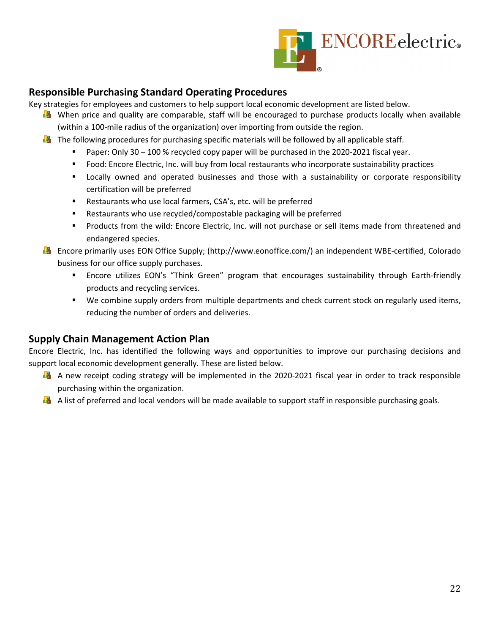

#### **Responsible Purchasing Standard Operating Procedures**

Key strategies for employees and customers to help support local economic development are listed below.

- **D** When price and quality are comparable, staff will be encouraged to purchase products locally when available (within a 100-mile radius of the organization) over importing from outside the region.
- **The following procedures for purchasing specific materials will be followed by all applicable staff.** 
	- Paper: Only  $30 100$  % recycled copy paper will be purchased in the 2020-2021 fiscal year.
	- Food: Encore Electric, Inc. will buy from local restaurants who incorporate sustainability practices
	- Locally owned and operated businesses and those with a sustainability or corporate responsibility certification will be preferred
	- Restaurants who use local farmers, CSA's, etc. will be preferred
	- Restaurants who use recycled/compostable packaging will be preferred
	- Products from the wild: Encore Electric, Inc. will not purchase or sell items made from threatened and endangered species.
- Encore primarily uses EON Office Supply; (http://www.eonoffice.com/) an independent WBE-certified, Colorado business for our office supply purchases.
	- Encore utilizes EON's "Think Green" program that encourages sustainability through Earth-friendly products and recycling services.
	- We combine supply orders from multiple departments and check current stock on regularly used items, reducing the number of orders and deliveries.

#### **Supply Chain Management Action Plan**

Encore Electric, Inc. has identified the following ways and opportunities to improve our purchasing decisions and support local economic development generally. These are listed below.

- **A** A new receipt coding strategy will be implemented in the 2020-2021 fiscal year in order to track responsible purchasing within the organization.
- **A** list of preferred and local vendors will be made available to support staff in responsible purchasing goals.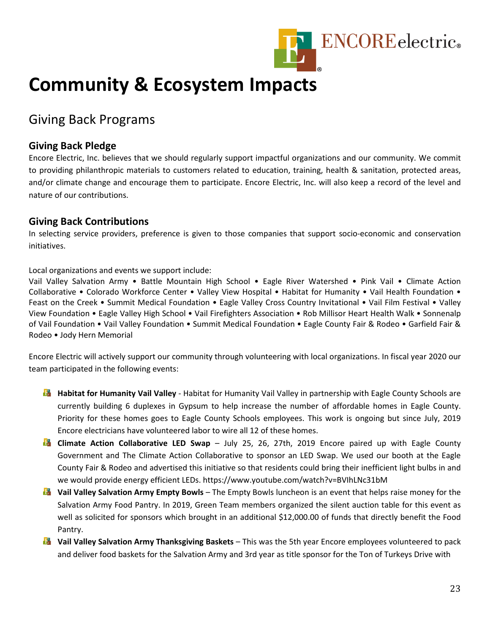

## **Community & Ecosystem Impacts**

## Giving Back Programs

#### **Giving Back Pledge**

Encore Electric, Inc. believes that we should regularly support impactful organizations and our community. We commit to providing philanthropic materials to customers related to education, training, health & sanitation, protected areas, and/or climate change and encourage them to participate. Encore Electric, Inc. will also keep a record of the level and nature of our contributions.

#### **Giving Back Contributions**

In selecting service providers, preference is given to those companies that support socio-economic and conservation initiatives.

Local organizations and events we support include:

Vail Valley Salvation Army • Battle Mountain High School • Eagle River Watershed • Pink Vail • Climate Action Collaborative • Colorado Workforce Center • Valley View Hospital • Habitat for Humanity • Vail Health Foundation • Feast on the Creek • Summit Medical Foundation • Eagle Valley Cross Country Invitational • Vail Film Festival • Valley View Foundation • Eagle Valley High School • Vail Firefighters Association • Rob Millisor Heart Health Walk • Sonnenalp of Vail Foundation • Vail Valley Foundation • Summit Medical Foundation • Eagle County Fair & Rodeo • Garfield Fair & Rodeo • Jody Hern Memorial

Encore Electric will actively support our community through volunteering with local organizations. In fiscal year 2020 our team participated in the following events:

- **Habitat for Humanity Vail Valley** Habitat for Humanity Vail Valley in partnership with Eagle County Schools are currently building 6 duplexes in Gypsum to help increase the number of affordable homes in Eagle County. Priority for these homes goes to Eagle County Schools employees. This work is ongoing but since July, 2019 Encore electricians have volunteered labor to wire all 12 of these homes.
- **Climate Action Collaborative LED Swap** July 25, 26, 27th, 2019 Encore paired up with Eagle County Government and The Climate Action Collaborative to sponsor an LED Swap. We used our booth at the Eagle County Fair & Rodeo and advertised this initiative so that residents could bring their inefficient light bulbs in and we would provide energy efficient LEDs. https://www.youtube.com/watch?v=BVIhLNc31bM
- **Vail Valley Salvation Army Empty Bowls** The Empty Bowls luncheon is an event that helps raise money for the Salvation Army Food Pantry. In 2019, Green Team members organized the silent auction table for this event as well as solicited for sponsors which brought in an additional \$12,000.00 of funds that directly benefit the Food Pantry.
- **Vail Valley Salvation Army Thanksgiving Baskets** This was the 5th year Encore employees volunteered to pack and deliver food baskets for the Salvation Army and 3rd year as title sponsor for the Ton of Turkeys Drive with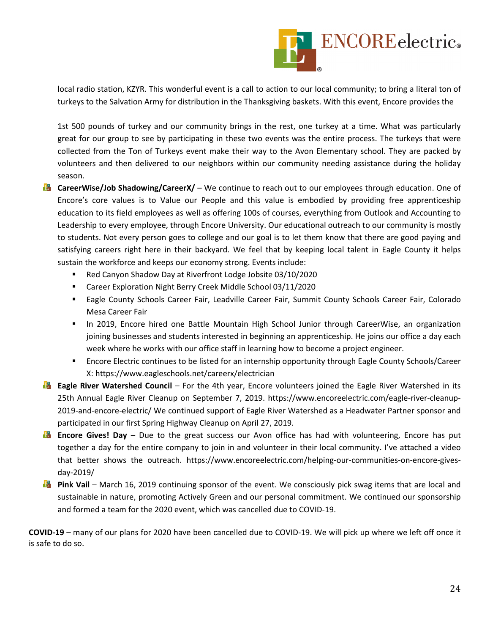

local radio station, KZYR. This wonderful event is a call to action to our local community; to bring a literal ton of turkeys to the Salvation Army for distribution in the Thanksgiving baskets. With this event, Encore provides the

1st 500 pounds of turkey and our community brings in the rest, one turkey at a time. What was particularly great for our group to see by participating in these two events was the entire process. The turkeys that were collected from the Ton of Turkeys event make their way to the Avon Elementary school. They are packed by volunteers and then delivered to our neighbors within our community needing assistance during the holiday season.

- **CareerWise/Job Shadowing/CareerX/** We continue to reach out to our employees through education. One of Encore's core values is to Value our People and this value is embodied by providing free apprenticeship education to its field employees as well as offering 100s of courses, everything from Outlook and Accounting to Leadership to every employee, through Encore University. Our educational outreach to our community is mostly to students. Not every person goes to college and our goal is to let them know that there are good paying and satisfying careers right here in their backyard. We feel that by keeping local talent in Eagle County it helps sustain the workforce and keeps our economy strong. Events include:
	- Red Canyon Shadow Day at Riverfront Lodge Jobsite 03/10/2020
	- Career Exploration Night Berry Creek Middle School 03/11/2020
	- Eagle County Schools Career Fair, Leadville Career Fair, Summit County Schools Career Fair, Colorado Mesa Career Fair
	- **In 2019, Encore hired one Battle Mountain High School Junior through CareerWise, an organization** joining businesses and students interested in beginning an apprenticeship. He joins our office a day each week where he works with our office staff in learning how to become a project engineer.
	- **Encore Electric continues to be listed for an internship opportunity through Eagle County Schools/Career** X: https://www.eagleschools.net/careerx/electrician
- **Eagle River Watershed Council** For the 4th year, Encore volunteers joined the Eagle River Watershed in its 25th Annual Eagle River Cleanup on September 7, 2019. https://www.encoreelectric.com/eagle-river-cleanup-2019-and-encore-electric/ We continued support of Eagle River Watershed as a Headwater Partner sponsor and participated in our first Spring Highway Cleanup on April 27, 2019.
- **Encore Gives! Day** Due to the great success our Avon office has had with volunteering, Encore has put together a day for the entire company to join in and volunteer in their local community. I've attached a video that better shows the outreach. https://www.encoreelectric.com/helping-our-communities-on-encore-givesday-2019/
- **Pink Vail** March 16, 2019 continuing sponsor of the event. We consciously pick swag items that are local and sustainable in nature, promoting Actively Green and our personal commitment. We continued our sponsorship and formed a team for the 2020 event, which was cancelled due to COVID-19.

**COVID-19** – many of our plans for 2020 have been cancelled due to COVID-19. We will pick up where we left off once it is safe to do so.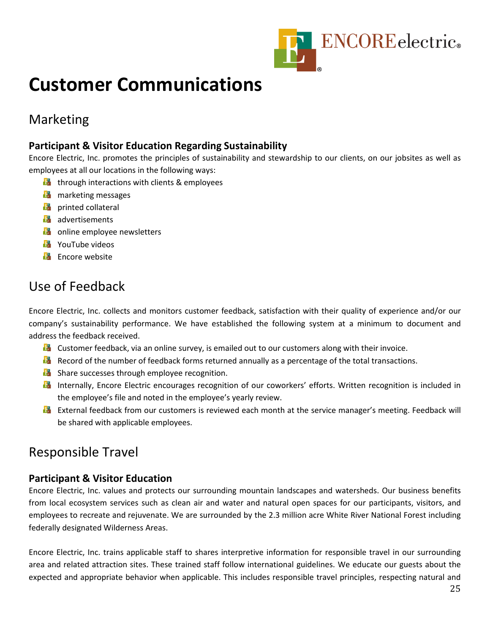

## **Customer Communications**

## Marketing

#### **Participant & Visitor Education Regarding Sustainability**

Encore Electric, Inc. promotes the principles of sustainability and stewardship to our clients, on our jobsites as well as employees at all our locations in the following ways:

- $\blacksquare$  through interactions with clients & employees
- **D** marketing messages
- **D** printed collateral
- **B** advertisements
- **D** online employee newsletters
- **E** YouTube videos
- Encore website

## Use of Feedback

Encore Electric, Inc. collects and monitors customer feedback, satisfaction with their quality of experience and/or our company's sustainability performance. We have established the following system at a minimum to document and address the feedback received.

- **D** Customer feedback, via an online survey, is emailed out to our customers along with their invoice.
- **Record of the number of feedback forms returned annually as a percentage of the total transactions.**
- **B** Share successes through employee recognition.
- **Internally, Encore Electric encourages recognition of our coworkers' efforts. Written recognition is included in** the employee's file and noted in the employee's yearly review.
- **External feedback from our customers is reviewed each month at the service manager's meeting. Feedback will** be shared with applicable employees.

## Responsible Travel

#### **Participant & Visitor Education**

Encore Electric, Inc. values and protects our surrounding mountain landscapes and watersheds. Our business benefits from local ecosystem services such as clean air and water and natural open spaces for our participants, visitors, and employees to recreate and rejuvenate. We are surrounded by the 2.3 million acre White River National Forest including federally designated Wilderness Areas.

Encore Electric, Inc. trains applicable staff to shares interpretive information for responsible travel in our surrounding area and related attraction sites. These trained staff follow international guidelines. We educate our guests about the expected and appropriate behavior when applicable. This includes responsible travel principles, respecting natural and